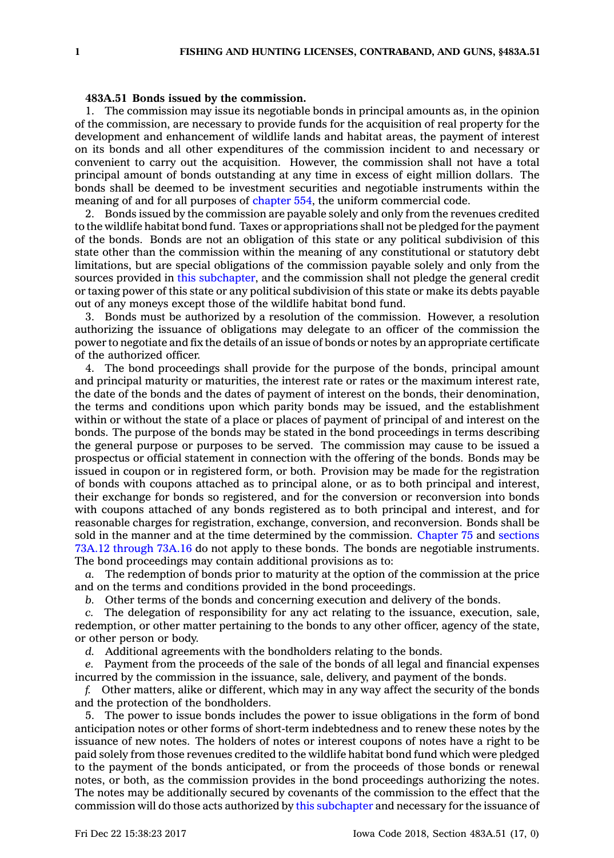## **483A.51 Bonds issued by the commission.**

1. The commission may issue its negotiable bonds in principal amounts as, in the opinion of the commission, are necessary to provide funds for the acquisition of real property for the development and enhancement of wildlife lands and habitat areas, the payment of interest on its bonds and all other expenditures of the commission incident to and necessary or convenient to carry out the acquisition. However, the commission shall not have <sup>a</sup> total principal amount of bonds outstanding at any time in excess of eight million dollars. The bonds shall be deemed to be investment securities and negotiable instruments within the meaning of and for all purposes of [chapter](https://www.legis.iowa.gov/docs/code//554.pdf) 554, the uniform commercial code.

2. Bonds issued by the commission are payable solely and only from the revenues credited to the wildlife habitat bond fund. Taxes or appropriations shall not be pledged for the payment of the bonds. Bonds are not an obligation of this state or any political subdivision of this state other than the commission within the meaning of any constitutional or statutory debt limitations, but are special obligations of the commission payable solely and only from the sources provided in this [subchapter](https://www.legis.iowa.gov/docs/code//483A.pdf), and the commission shall not pledge the general credit or taxing power of this state or any political subdivision of this state or make its debts payable out of any moneys except those of the wildlife habitat bond fund.

3. Bonds must be authorized by <sup>a</sup> resolution of the commission. However, <sup>a</sup> resolution authorizing the issuance of obligations may delegate to an officer of the commission the power to negotiate and fix the details of an issue of bonds or notes by an appropriate certificate of the authorized officer.

4. The bond proceedings shall provide for the purpose of the bonds, principal amount and principal maturity or maturities, the interest rate or rates or the maximum interest rate, the date of the bonds and the dates of payment of interest on the bonds, their denomination, the terms and conditions upon which parity bonds may be issued, and the establishment within or without the state of <sup>a</sup> place or places of payment of principal of and interest on the bonds. The purpose of the bonds may be stated in the bond proceedings in terms describing the general purpose or purposes to be served. The commission may cause to be issued <sup>a</sup> prospectus or official statement in connection with the offering of the bonds. Bonds may be issued in coupon or in registered form, or both. Provision may be made for the registration of bonds with coupons attached as to principal alone, or as to both principal and interest, their exchange for bonds so registered, and for the conversion or reconversion into bonds with coupons attached of any bonds registered as to both principal and interest, and for reasonable charges for registration, exchange, conversion, and reconversion. Bonds shall be sold in the manner and at the time determined by the commission. [Chapter](https://www.legis.iowa.gov/docs/code//75.pdf) 75 and [sections](https://www.legis.iowa.gov/docs/code/73A.12.pdf) 73A.12 [through](https://www.legis.iowa.gov/docs/code/73A.12.pdf) 73A.16 do not apply to these bonds. The bonds are negotiable instruments. The bond proceedings may contain additional provisions as to:

*a.* The redemption of bonds prior to maturity at the option of the commission at the price and on the terms and conditions provided in the bond proceedings.

*b.* Other terms of the bonds and concerning execution and delivery of the bonds.

*c.* The delegation of responsibility for any act relating to the issuance, execution, sale, redemption, or other matter pertaining to the bonds to any other officer, agency of the state, or other person or body.

*d.* Additional agreements with the bondholders relating to the bonds.

*e.* Payment from the proceeds of the sale of the bonds of all legal and financial expenses incurred by the commission in the issuance, sale, delivery, and payment of the bonds.

*f.* Other matters, alike or different, which may in any way affect the security of the bonds and the protection of the bondholders.

5. The power to issue bonds includes the power to issue obligations in the form of bond anticipation notes or other forms of short-term indebtedness and to renew these notes by the issuance of new notes. The holders of notes or interest coupons of notes have <sup>a</sup> right to be paid solely from those revenues credited to the wildlife habitat bond fund which were pledged to the payment of the bonds anticipated, or from the proceeds of those bonds or renewal notes, or both, as the commission provides in the bond proceedings authorizing the notes. The notes may be additionally secured by covenants of the commission to the effect that the commission will do those acts authorized by this [subchapter](https://www.legis.iowa.gov/docs/code//483A.pdf) and necessary for the issuance of